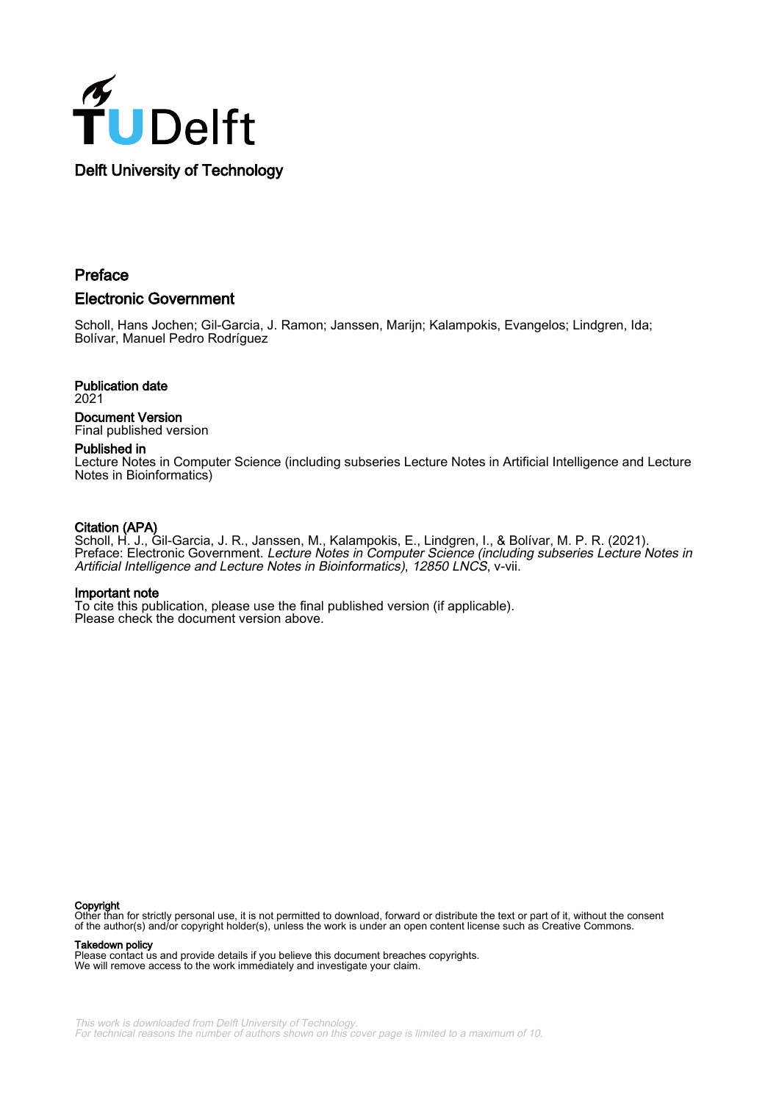

## Preface

## Electronic Government

Scholl, Hans Jochen; Gil-Garcia, J. Ramon; Janssen, Marijn; Kalampokis, Evangelos; Lindgren, Ida; Bolívar, Manuel Pedro Rodríguez

#### Publication date

2021

Document Version Final published version

#### Published in

Lecture Notes in Computer Science (including subseries Lecture Notes in Artificial Intelligence and Lecture Notes in Bioinformatics)

### Citation (APA)

Scholl, H. J., Gil-Garcia, J. R., Janssen, M., Kalampokis, E., Lindgren, I., & Bolívar, M. P. R. (2021). Preface: Electronic Government. Lecture Notes in Computer Science (including subseries Lecture Notes in Artificial Intelligence and Lecture Notes in Bioinformatics), 12850 LNCS, v-vii.

#### Important note

To cite this publication, please use the final published version (if applicable). Please check the document version above.

#### Copyright

Other than for strictly personal use, it is not permitted to download, forward or distribute the text or part of it, without the consent of the author(s) and/or copyright holder(s), unless the work is under an open content license such as Creative Commons.

#### Takedown policy

Please contact us and provide details if you believe this document breaches copyrights. We will remove access to the work immediately and investigate your claim.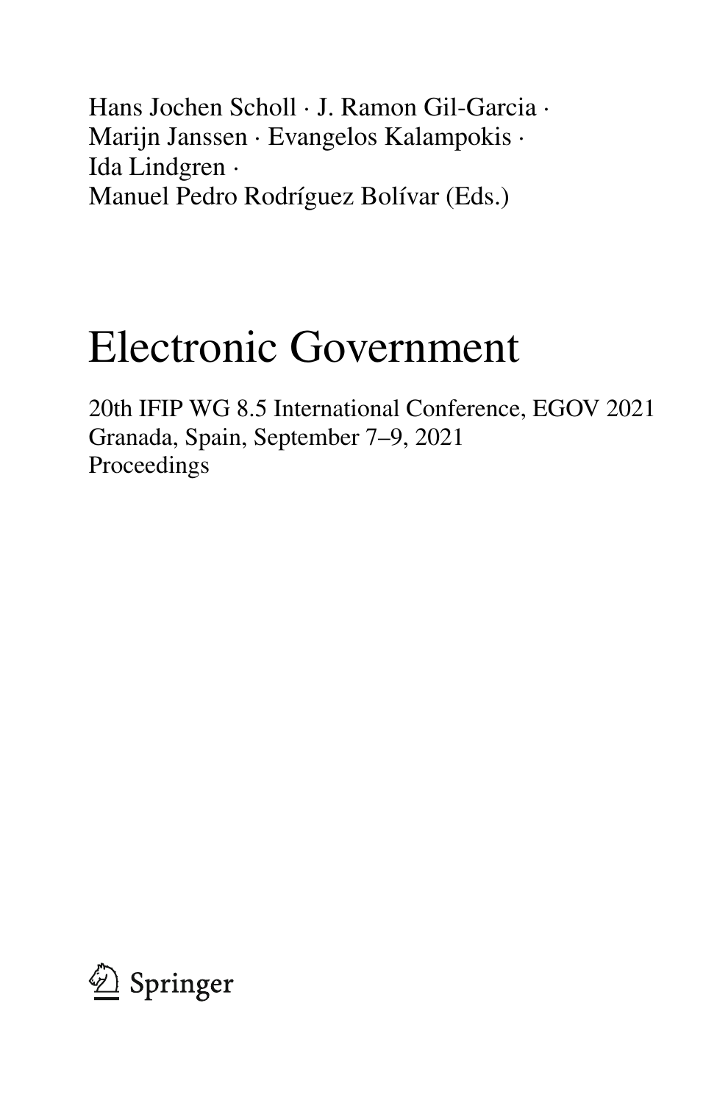Hans Jochen Scholl · J. Ramon Gil-Garcia · Marijn Janssen · Evangelos Kalampokis · Ida Lindgren · Manuel Pedro Rodríguez Bolívar (Eds.)

# Electronic Government

20th IFIP WG 8.5 International Conference, EGOV 2021 Granada, Spain, September 7–9, 2021 Proceedings

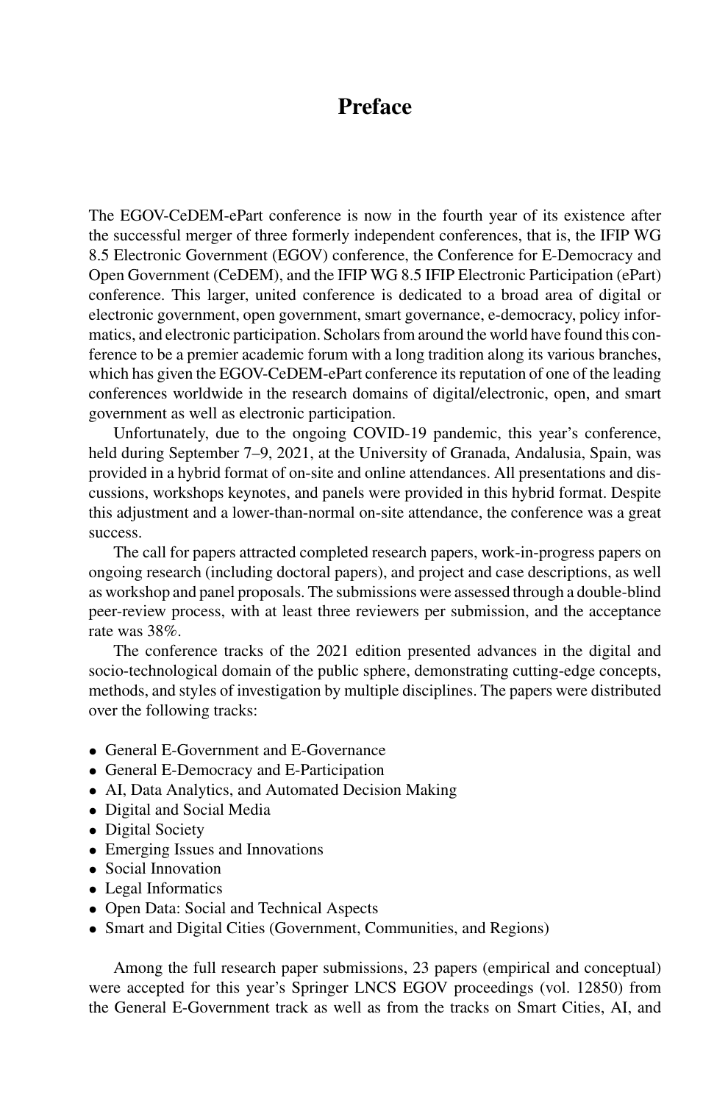# **Preface**

The EGOV-CeDEM-ePart conference is now in the fourth year of its existence after the successful merger of three formerly independent conferences, that is, the IFIP WG 8.5 Electronic Government (EGOV) conference, the Conference for E-Democracy and Open Government (CeDEM), and the IFIP WG 8.5 IFIP Electronic Participation (ePart) conference. This larger, united conference is dedicated to a broad area of digital or electronic government, open government, smart governance, e-democracy, policy informatics, and electronic participation. Scholars from around the world have found this conference to be a premier academic forum with a long tradition along its various branches, which has given the EGOV-CeDEM-ePart conference its reputation of one of the leading conferences worldwide in the research domains of digital/electronic, open, and smart government as well as electronic participation.

Unfortunately, due to the ongoing COVID-19 pandemic, this year's conference, held during September 7–9, 2021, at the University of Granada, Andalusia, Spain, was provided in a hybrid format of on-site and online attendances. All presentations and discussions, workshops keynotes, and panels were provided in this hybrid format. Despite this adjustment and a lower-than-normal on-site attendance, the conference was a great success.

The call for papers attracted completed research papers, work-in-progress papers on ongoing research (including doctoral papers), and project and case descriptions, as well as workshop and panel proposals. The submissions were assessed through a double-blind peer-review process, with at least three reviewers per submission, and the acceptance rate was 38%.

The conference tracks of the 2021 edition presented advances in the digital and socio-technological domain of the public sphere, demonstrating cutting-edge concepts, methods, and styles of investigation by multiple disciplines. The papers were distributed over the following tracks:

- General E-Government and E-Governance
- General E-Democracy and E-Participation
- AI, Data Analytics, and Automated Decision Making
- Digital and Social Media
- Digital Society
- Emerging Issues and Innovations
- Social Innovation
- Legal Informatics
- Open Data: Social and Technical Aspects
- Smart and Digital Cities (Government, Communities, and Regions)

Among the full research paper submissions, 23 papers (empirical and conceptual) were accepted for this year's Springer LNCS EGOV proceedings (vol. 12850) from the General E-Government track as well as from the tracks on Smart Cities, AI, and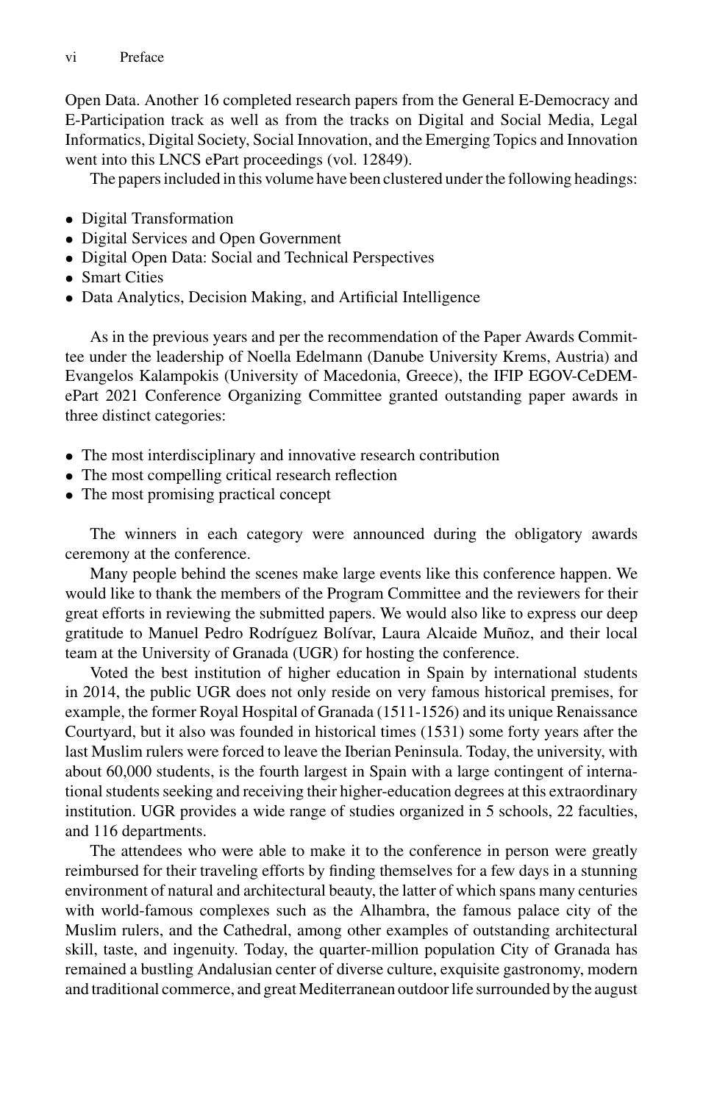Open Data. Another 16 completed research papers from the General E-Democracy and E-Participation track as well as from the tracks on Digital and Social Media, Legal Informatics, Digital Society, Social Innovation, and the Emerging Topics and Innovation went into this LNCS ePart proceedings (vol. 12849).

The papers included in this volume have been clustered under the following headings:

- Digital Transformation
- Digital Services and Open Government
- Digital Open Data: Social and Technical Perspectives
- Smart Cities
- Data Analytics, Decision Making, and Artificial Intelligence

As in the previous years and per the recommendation of the Paper Awards Committee under the leadership of Noella Edelmann (Danube University Krems, Austria) and Evangelos Kalampokis (University of Macedonia, Greece), the IFIP EGOV-CeDEMePart 2021 Conference Organizing Committee granted outstanding paper awards in three distinct categories:

- The most interdisciplinary and innovative research contribution
- The most compelling critical research reflection
- The most promising practical concept

The winners in each category were announced during the obligatory awards ceremony at the conference.

Many people behind the scenes make large events like this conference happen. We would like to thank the members of the Program Committee and the reviewers for their great efforts in reviewing the submitted papers. We would also like to express our deep gratitude to Manuel Pedro Rodríguez Bolívar, Laura Alcaide Muñoz, and their local team at the University of Granada (UGR) for hosting the conference.

Voted the best institution of higher education in Spain by international students in 2014, the public UGR does not only reside on very famous historical premises, for example, the former Royal Hospital of Granada (1511-1526) and its unique Renaissance Courtyard, but it also was founded in historical times (1531) some forty years after the last Muslim rulers were forced to leave the Iberian Peninsula. Today, the university, with about 60,000 students, is the fourth largest in Spain with a large contingent of international students seeking and receiving their higher-education degrees at this extraordinary institution. UGR provides a wide range of studies organized in 5 schools, 22 faculties, and 116 departments.

The attendees who were able to make it to the conference in person were greatly reimbursed for their traveling efforts by finding themselves for a few days in a stunning environment of natural and architectural beauty, the latter of which spans many centuries with world-famous complexes such as the Alhambra, the famous palace city of the Muslim rulers, and the Cathedral, among other examples of outstanding architectural skill, taste, and ingenuity. Today, the quarter-million population City of Granada has remained a bustling Andalusian center of diverse culture, exquisite gastronomy, modern and traditional commerce, and great Mediterranean outdoor life surrounded by the august